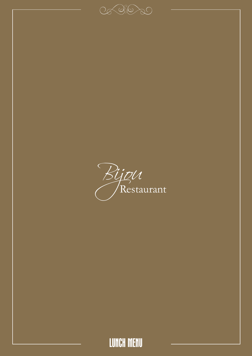

 $C_{\!\mathscr{A}}$  (  $C_{\!\mathscr{A}}$  )  $C_{\!\mathscr{A}}$